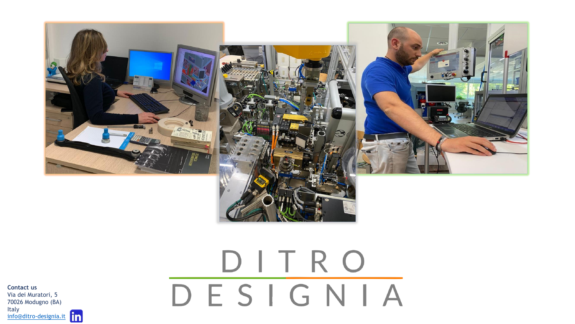

## DITRO DESIGNIA

**Contact us** Via dei Muratori, 5 70026 Modugno (BA) Italy [info@ditro-designia.it](mailto:info@ditro-designia.it)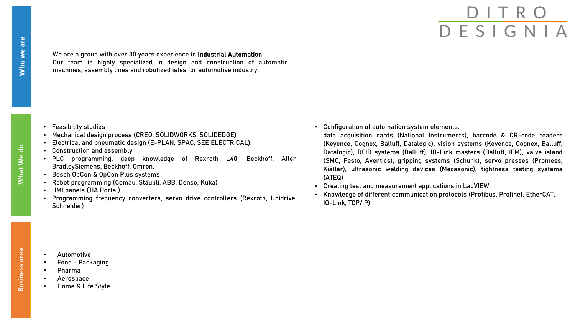We are a group with over 30 years experience in Industrial Automation. Our team is highly specialized in design and construction of automatic machines, assembly lines and robotized isles for automotive industry.

- Feasibility studies
- Mechanical design process (CREO, SOLIDWORKS, SOLIDEDGE)
- Electrical and pneumatic design (E-PLAN, SPAC, SEE ELECTRICAL)
- Construction and assembly
- PLC programming, deep knowledge of Rexroth L40, Beckhoff, Allen BradleySiemens, Beckhoff, Omron,
- Bosch OpCon & OpCon Plus systems
- Robot programming (Comau, Stäubli, ABB, Denso, Kuka)
- HMI panels (TIA Portal)
- Programming frequency converters, servo drive controllers (Rexroth, Unidrive, Schneider)

• Configuration of automation system elements:

data acquisition cards (National Instruments), barcode & QR-code readers (Keyence, Cognex, Balluff, Datalogic), vision systems (Keyence, Cognex, Balluff, Datalogic), RFID systems (Balluff), IO-Link masters (Balluff, IFM), valve island (SMC, Festo, Aventics), gripping systems (Schunk), servo presses (Promess, Kistler), ultrasonic welding devices (Mecasonic), tightness testing systems (ATEQ)

- Creating test and measurement applications in LabVIEW
- Knowledge of different communication protocols (Profibus, Profinet, EtherCAT, IO-Link, TCP/IP)

- Automotive
- Food Packaging
- Pharma
- Aerospace
- Home & Life Style